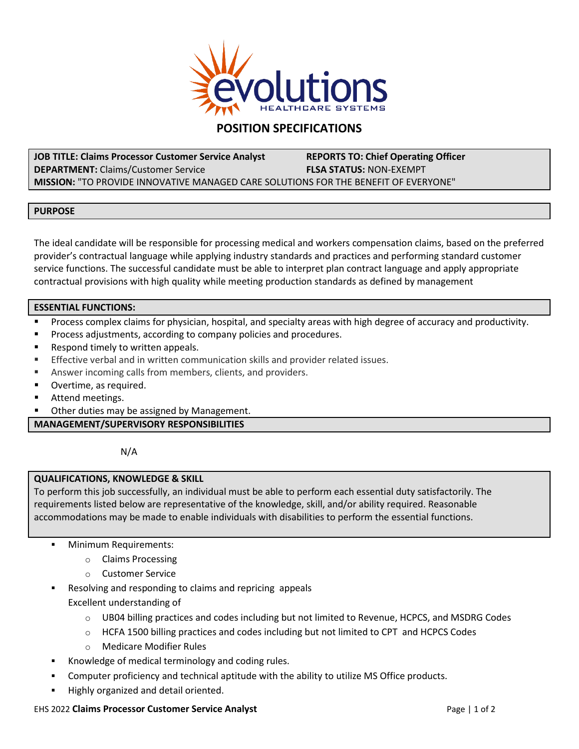

# **POSITION SPECIFICATIONS**

**JOB TITLE: Claims Processor Customer Service Analyst REPORTS TO: Chief Operating Officer DEPARTMENT:** Claims/Customer Service **FLSA STATUS:** NON-EXEMPT **MISSION:** "TO PROVIDE INNOVATIVE MANAGED CARE SOLUTIONS FOR THE BENEFIT OF EVERYONE"

# **PURPOSE**

The ideal candidate will be responsible for processing medical and workers compensation claims, based on the preferred provider's contractual language while applying industry standards and practices and performing standard customer service functions. The successful candidate must be able to interpret plan contract language and apply appropriate contractual provisions with high quality while meeting production standards as defined by management

# **ESSENTIAL FUNCTIONS:**

- Process complex claims for physician, hospital, and specialty areas with high degree of accuracy and productivity.
- **Process adjustments, according to company policies and procedures.**
- **Respond timely to written appeals.**
- Effective verbal and in written communication skills and provider related issues.
- Answer incoming calls from members, clients, and providers.
- **D** Overtime, as required.
- **Attend meetings.**
- **Deta Cheau as a Cheau is a Cheau is a Cheau i**n Other duties may be assigned by Management.

# **MANAGEMENT/SUPERVISORY RESPONSIBILITIES**

N/A

# **QUALIFICATIONS, KNOWLEDGE & SKILL**

To perform this job successfully, an individual must be able to perform each essential duty satisfactorily. The requirements listed below are representative of the knowledge, skill, and/or ability required. Reasonable accommodations may be made to enable individuals with disabilities to perform the essential functions.

- Minimum Requirements:
	- o Claims Processing
	- o Customer Service
- Resolving and responding to claims and repricing appeals

Excellent understanding of

- $\circ$  UB04 billing practices and codes including but not limited to Revenue, HCPCS, and MSDRG Codes
- $\circ$  HCFA 1500 billing practices and codes including but not limited to CPT and HCPCS Codes
- o Medicare Modifier Rules
- Knowledge of medical terminology and coding rules.
- Computer proficiency and technical aptitude with the ability to utilize MS Office products.
- Highly organized and detail oriented.

## EHS 2022 **Claims Processor Customer Service Analyst Page 12 of 2 Page 14 of 2 Page 14 of 2**